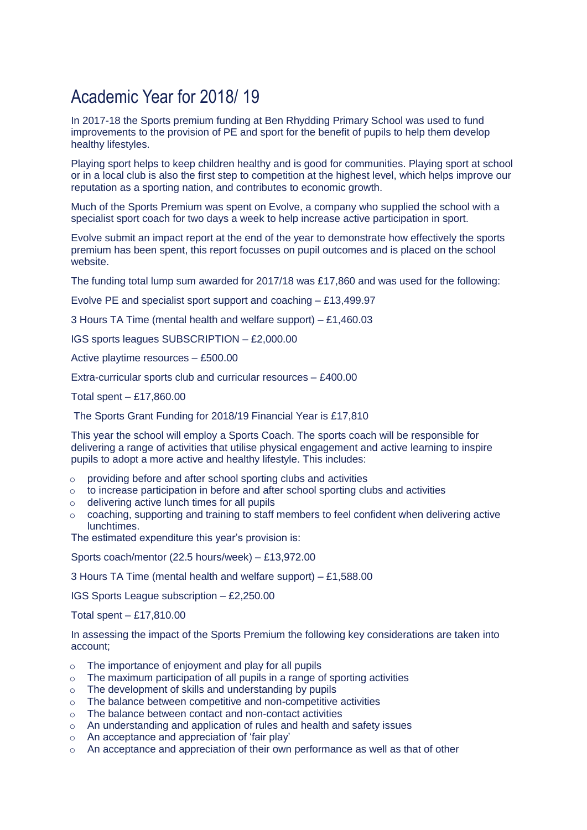## Academic Year for 2018/ 19

In 2017-18 the Sports premium funding at Ben Rhydding Primary School was used to fund improvements to the provision of PE and sport for the benefit of pupils to help them develop healthy lifestyles.

Playing sport helps to keep children healthy and is good for communities. Playing sport at school or in a local club is also the first step to competition at the highest level, which helps improve our reputation as a sporting nation, and contributes to economic growth.

Much of the Sports Premium was spent on Evolve, a company who supplied the school with a specialist sport coach for two days a week to help increase active participation in sport.

Evolve submit an impact report at the end of the year to demonstrate how effectively the sports premium has been spent, this report focusses on pupil outcomes and is placed on the school website.

The funding total lump sum awarded for 2017/18 was £17,860 and was used for the following:

Evolve PE and specialist sport support and coaching – £13,499.97

3 Hours TA Time (mental health and welfare support) – £1,460.03

IGS sports leagues SUBSCRIPTION – £2,000.00

Active playtime resources – £500.00

Extra-curricular sports club and curricular resources – £400.00

Total spent – £17,860.00

The Sports Grant Funding for 2018/19 Financial Year is £17,810

This year the school will employ a Sports Coach. The sports coach will be responsible for delivering a range of activities that utilise physical engagement and active learning to inspire pupils to adopt a more active and healthy lifestyle. This includes:

- o providing before and after school sporting clubs and activities
- o to increase participation in before and after school sporting clubs and activities
- o delivering active lunch times for all pupils
- o coaching, supporting and training to staff members to feel confident when delivering active **lunchtimes**

The estimated expenditure this year's provision is:

Sports coach/mentor (22.5 hours/week) – £13,972.00

3 Hours TA Time (mental health and welfare support) – £1,588.00

IGS Sports League subscription – £2,250.00

Total spent – £17,810.00

In assessing the impact of the Sports Premium the following key considerations are taken into account;

- o The importance of enjoyment and play for all pupils
- $\circ$  The maximum participation of all pupils in a range of sporting activities
- o The development of skills and understanding by pupils
- o The balance between competitive and non-competitive activities
- o The balance between contact and non-contact activities
- o An understanding and application of rules and health and safety issues
- o An acceptance and appreciation of 'fair play'
- $\circ$  An acceptance and appreciation of their own performance as well as that of other